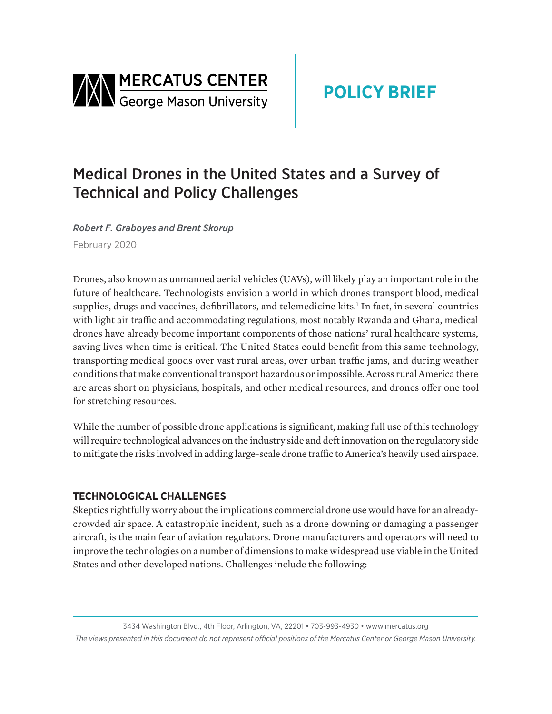

# Medical Drones in the United States and a Survey of Technical and Policy Challenges

*Robert F. Graboyes and Brent Skorup* February 2020

Drones, also known as unmanned aerial vehicles (UAVs), will likely play an important role in the future of healthcare. Technologists envision a world in which drones transport blood, medical supplies, drugs and vaccines, defibrillators, and telemedicine kits.<sup>1</sup> In fact, in several countries with light air traffic and accommodating regulations, most notably Rwanda and Ghana, medical drones have already become important components of those nations' rural healthcare systems, saving lives when time is critical. The United States could benefit from this same technology, transporting medical goods over vast rural areas, over urban traffic jams, and during weather conditions that make conventional transport hazardous or impossible. Across rural America there are areas short on physicians, hospitals, and other medical resources, and drones offer one tool for stretching resources.

While the number of possible drone applications is significant, making full use of this technology will require technological advances on the industry side and deft innovation on the regulatory side to mitigate the risks involved in adding large-scale drone traffic to America's heavily used airspace.

## **TECHNOLOGICAL CHALLENGES**

Skeptics rightfully worry about the implications commercial drone use would have for an alreadycrowded air space. A catastrophic incident, such as a drone downing or damaging a passenger aircraft, is the main fear of aviation regulators. Drone manufacturers and operators will need to improve the technologies on a number of dimensions to make widespread use viable in the United States and other developed nations. Challenges include the following: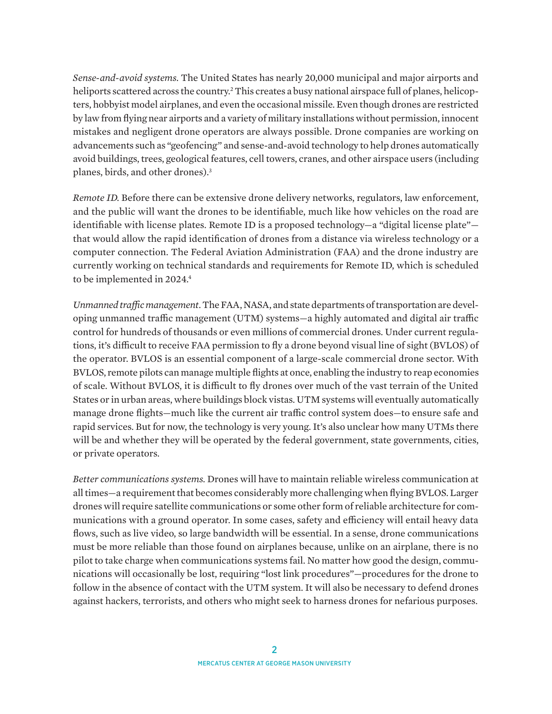*Sense-and-avoid systems.* The United States has nearly 20,000 municipal and major airports and heliports scattered across the country.<sup>2</sup> This creates a busy national airspace full of planes, helicopters, hobbyist model airplanes, and even the occasional missile. Even though drones are restricted by law from flying near airports and a variety of military installations without permission, innocent mistakes and negligent drone operators are always possible. Drone companies are working on advancements such as "geofencing" and sense-and-avoid technology to help drones automatically avoid buildings, trees, geological features, cell towers, cranes, and other airspace users (including planes, birds, and other drones).3

*Remote ID.* Before there can be extensive drone delivery networks, regulators, law enforcement, and the public will want the drones to be identifiable, much like how vehicles on the road are identifiable with license plates. Remote ID is a proposed technology—a "digital license plate" that would allow the rapid identification of drones from a distance via wireless technology or a computer connection. The Federal Aviation Administration (FAA) and the drone industry are currently working on technical standards and requirements for Remote ID, which is scheduled to be implemented in 2024.<sup>4</sup>

*Unmanned traffic management.* The FAA, NASA, and state departments of transportation are developing unmanned traffic management (UTM) systems—a highly automated and digital air traffic control for hundreds of thousands or even millions of commercial drones. Under current regulations, it's difficult to receive FAA permission to fly a drone beyond visual line of sight (BVLOS) of the operator. BVLOS is an essential component of a large-scale commercial drone sector. With BVLOS, remote pilots can manage multiple flights at once, enabling the industry to reap economies of scale. Without BVLOS, it is difficult to fly drones over much of the vast terrain of the United States or in urban areas, where buildings block vistas. UTM systems will eventually automatically manage drone flights—much like the current air traffic control system does—to ensure safe and rapid services. But for now, the technology is very young. It's also unclear how many UTMs there will be and whether they will be operated by the federal government, state governments, cities, or private operators.

*Better communications systems.* Drones will have to maintain reliable wireless communication at all times—a requirement that becomes considerably more challenging when flying BVLOS. Larger drones will require satellite communications or some other form of reliable architecture for communications with a ground operator. In some cases, safety and efficiency will entail heavy data flows, such as live video, so large bandwidth will be essential. In a sense, drone communications must be more reliable than those found on airplanes because, unlike on an airplane, there is no pilot to take charge when communications systems fail. No matter how good the design, communications will occasionally be lost, requiring "lost link procedures"—procedures for the drone to follow in the absence of contact with the UTM system. It will also be necessary to defend drones against hackers, terrorists, and others who might seek to harness drones for nefarious purposes.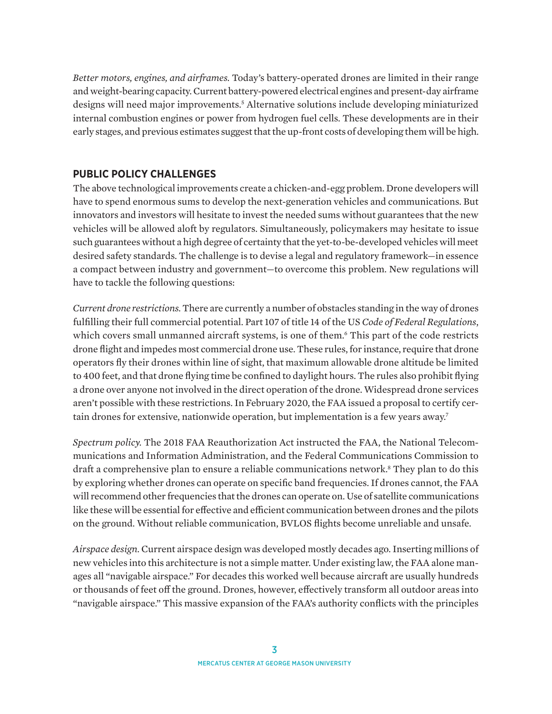*Better motors, engines, and airframes.* Today's battery-operated drones are limited in their range and weight-bearing capacity. Current battery-powered electrical engines and present-day airframe designs will need major improvements.<sup>5</sup> Alternative solutions include developing miniaturized internal combustion engines or power from hydrogen fuel cells. These developments are in their early stages, and previous estimates suggest that the up-front costs of developing them will be high.

## **PUBLIC POLICY CHALLENGES**

The above technological improvements create a chicken-and-egg problem. Drone developers will have to spend enormous sums to develop the next-generation vehicles and communications. But innovators and investors will hesitate to invest the needed sums without guarantees that the new vehicles will be allowed aloft by regulators. Simultaneously, policymakers may hesitate to issue such guarantees without a high degree of certainty that the yet-to-be-developed vehicles will meet desired safety standards. The challenge is to devise a legal and regulatory framework—in essence a compact between industry and government—to overcome this problem. New regulations will have to tackle the following questions:

*Current drone restrictions.* There are currently a number of obstacles standing in the way of drones fulfilling their full commercial potential. Part 107 of title 14 of the US *Code of Federal Regulations*, which covers small unmanned aircraft systems, is one of them.6 This part of the code restricts drone flight and impedes most commercial drone use. These rules, for instance, require that drone operators fly their drones within line of sight, that maximum allowable drone altitude be limited to 400 feet, and that drone flying time be confined to daylight hours. The rules also prohibit flying a drone over anyone not involved in the direct operation of the drone. Widespread drone services aren't possible with these restrictions. In February 2020, the FAA issued a proposal to certify certain drones for extensive, nationwide operation, but implementation is a few years away.<sup>7</sup>

*Spectrum policy.* The 2018 FAA Reauthorization Act instructed the FAA, the National Telecommunications and Information Administration, and the Federal Communications Commission to draft a comprehensive plan to ensure a reliable communications network.<sup>8</sup> They plan to do this by exploring whether drones can operate on specific band frequencies. If drones cannot, the FAA will recommend other frequencies that the drones can operate on. Use of satellite communications like these will be essential for effective and efficient communication between drones and the pilots on the ground. Without reliable communication, BVLOS flights become unreliable and unsafe.

*Airspace design.* Current airspace design was developed mostly decades ago. Inserting millions of new vehicles into this architecture is not a simple matter. Under existing law, the FAA alone manages all "navigable airspace." For decades this worked well because aircraft are usually hundreds or thousands of feet off the ground. Drones, however, effectively transform all outdoor areas into "navigable airspace." This massive expansion of the FAA's authority conflicts with the principles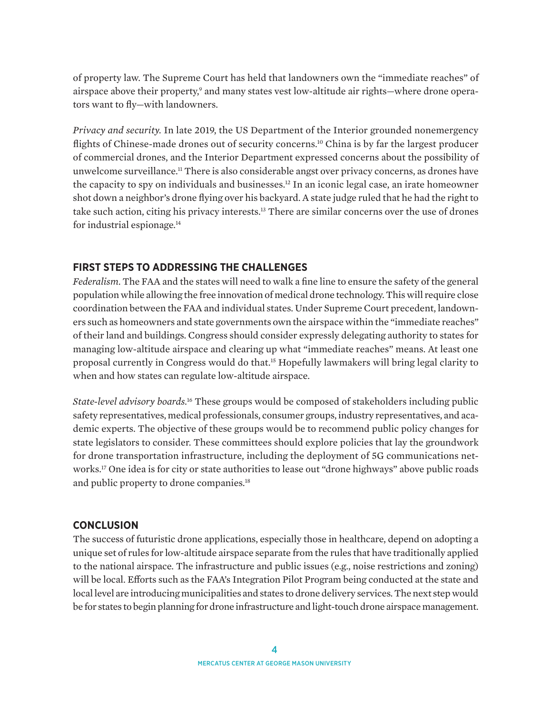of property law. The Supreme Court has held that landowners own the "immediate reaches" of airspace above their property,<sup>9</sup> and many states vest low-altitude air rights—where drone operators want to fly—with landowners.

*Privacy and security.* In late 2019, the US Department of the Interior grounded nonemergency flights of Chinese-made drones out of security concerns.<sup>10</sup> China is by far the largest producer of commercial drones, and the Interior Department expressed concerns about the possibility of unwelcome surveillance.11 There is also considerable angst over privacy concerns, as drones have the capacity to spy on individuals and businesses.12 In an iconic legal case, an irate homeowner shot down a neighbor's drone flying over his backyard. A state judge ruled that he had the right to take such action, citing his privacy interests.13 There are similar concerns over the use of drones for industrial espionage.14

### **FIRST STEPS TO ADDRESSING THE CHALLENGES**

*Federalism.* The FAA and the states will need to walk a fine line to ensure the safety of the general population while allowing the free innovation of medical drone technology. This will require close coordination between the FAA and individual states. Under Supreme Court precedent, landowners such as homeowners and state governments own the airspace within the "immediate reaches" of their land and buildings. Congress should consider expressly delegating authority to states for managing low-altitude airspace and clearing up what "immediate reaches" means. At least one proposal currently in Congress would do that.15 Hopefully lawmakers will bring legal clarity to when and how states can regulate low-altitude airspace.

*State-level advisory boards.*16 These groups would be composed of stakeholders including public safety representatives, medical professionals, consumer groups, industry representatives, and academic experts. The objective of these groups would be to recommend public policy changes for state legislators to consider. These committees should explore policies that lay the groundwork for drone transportation infrastructure, including the deployment of 5G communications networks.17 One idea is for city or state authorities to lease out "drone highways" above public roads and public property to drone companies.<sup>18</sup>

### **CONCLUSION**

The success of futuristic drone applications, especially those in healthcare, depend on adopting a unique set of rules for low-altitude airspace separate from the rules that have traditionally applied to the national airspace. The infrastructure and public issues (e.g., noise restrictions and zoning) will be local. Efforts such as the FAA's Integration Pilot Program being conducted at the state and local level are introducing municipalities and states to drone delivery services. The next step would be for states to begin planning for drone infrastructure and light-touch drone airspace management.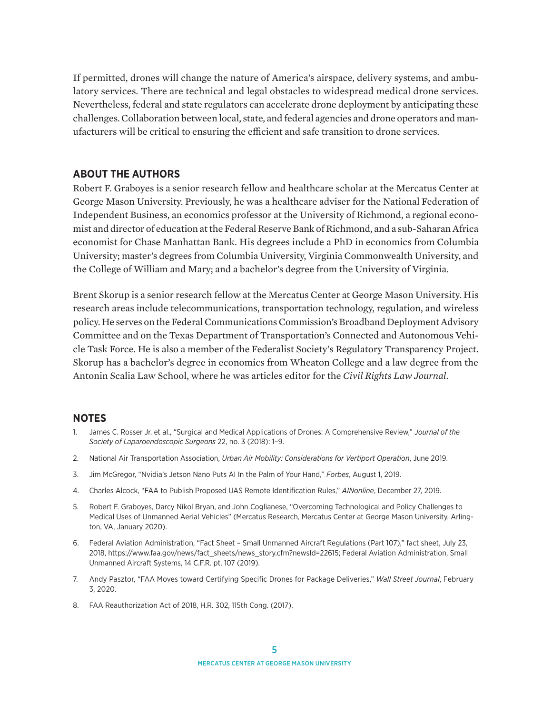If permitted, drones will change the nature of America's airspace, delivery systems, and ambulatory services. There are technical and legal obstacles to widespread medical drone services. Nevertheless, federal and state regulators can accelerate drone deployment by anticipating these challenges. Collaboration between local, state, and federal agencies and drone operators and manufacturers will be critical to ensuring the efficient and safe transition to drone services.

#### **ABOUT THE AUTHORS**

Robert F. Graboyes is a senior research fellow and healthcare scholar at the Mercatus Center at George Mason University. Previously, he was a healthcare adviser for the National Federation of Independent Business, an economics professor at the University of Richmond, a regional economist and director of education at the Federal Reserve Bank of Richmond, and a sub-Saharan Africa economist for Chase Manhattan Bank. His degrees include a PhD in economics from Columbia University; master's degrees from Columbia University, Virginia Commonwealth University, and the College of William and Mary; and a bachelor's degree from the University of Virginia.

Brent Skorup is a senior research fellow at the Mercatus Center at George Mason University. His research areas include telecommunications, transportation technology, regulation, and wireless policy. He serves on the Federal Communications Commission's Broadband Deployment Advisory Committee and on the Texas Department of Transportation's Connected and Autonomous Vehicle Task Force. He is also a member of the Federalist Society's Regulatory Transparency Project. Skorup has a bachelor's degree in economics from Wheaton College and a law degree from the Antonin Scalia Law School, where he was articles editor for the *Civil Rights Law Journal*.

#### **NOTES**

- 1. James C. Rosser Jr. et al., "Surgical and Medical Applications of Drones: A Comprehensive Review," *Journal of the Society of Laparoendoscopic Surgeons* 22, no. 3 (2018): 1–9.
- 2. National Air Transportation Association, *Urban Air Mobility: Considerations for Vertiport Operation*, June 2019.
- 3. Jim McGregor, "Nvidia's Jetson Nano Puts AI In the Palm of Your Hand," *Forbes*, August 1, 2019.
- 4. Charles Alcock, "FAA to Publish Proposed UAS Remote Identification Rules," *AINonline*, December 27, 2019.
- 5. Robert F. Graboyes, Darcy Nikol Bryan, and John Coglianese, "Overcoming Technological and Policy Challenges to Medical Uses of Unmanned Aerial Vehicles" (Mercatus Research, Mercatus Center at George Mason University, Arlington, VA, January 2020).
- 6. Federal Aviation Administration, "Fact Sheet Small Unmanned Aircraft Regulations (Part 107)," fact sheet, July 23, 2018, [https://www.faa.gov/news/fact\\_sheets/news\\_story.cfm?newsId=22615;](https://www.faa.gov/news/fact_sheets/news_story.cfm?newsId=22615) Federal Aviation Administration, Small Unmanned Aircraft Systems, 14 C.F.R. pt. 107 (2019).
- 7. Andy Pasztor, "FAA Moves toward Certifying Specific Drones for Package Deliveries," *Wall Street Journal*, February 3, 2020.
- 8. FAA Reauthorization Act of 2018, H.R. 302, 115th Cong. (2017).